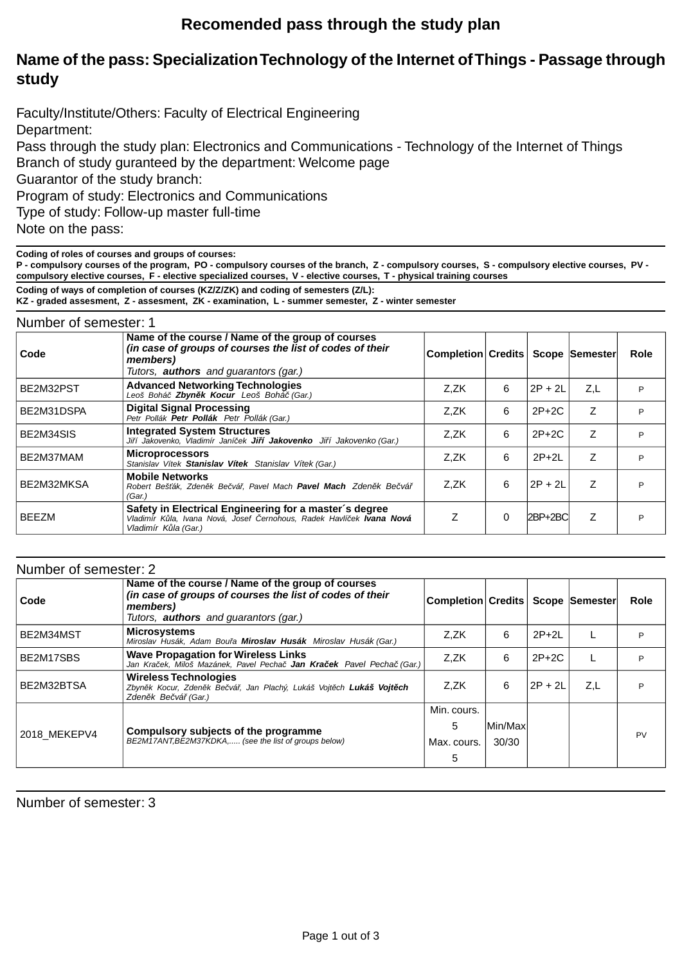## **Recomended pass through the study plan**

## **Name of the pass: Specialization Technology of the Internet of Things - Passage through study**

Faculty/Institute/Others: Faculty of Electrical Engineering Department: Pass through the study plan: Electronics and Communications - Technology of the Internet of Things Branch of study guranteed by the department: Welcome page Guarantor of the study branch:

Program of study: Electronics and Communications

Type of study: Follow-up master full-time

Note on the pass:

**Coding of roles of courses and groups of courses:**

**P - compulsory courses of the program, PO - compulsory courses of the branch, Z - compulsory courses, S - compulsory elective courses, PV compulsory elective courses, F - elective specialized courses, V - elective courses, T - physical training courses**

**Coding of ways of completion of courses (KZ/Z/ZK) and coding of semesters (Z/L):**

**KZ - graded assesment, Z - assesment, ZK - examination, L - summer semester, Z - winter semester**

#### Number of semester: 1

| Code         | Name of the course / Name of the group of courses<br>(in case of groups of courses the list of codes of their<br>members)<br>Tutors, <b>authors</b> and quarantors (gar.) | Completion Credits   Scope   Semester |          |             |     | Role |
|--------------|---------------------------------------------------------------------------------------------------------------------------------------------------------------------------|---------------------------------------|----------|-------------|-----|------|
| BE2M32PST    | <b>Advanced Networking Technologies</b><br>Leoš Bohá Zbyn k Kocur Leoš Bohá (Gar.)                                                                                        | Z.ZK                                  | 6        | $2P + 2L$   | Z,L | P    |
| BE2M31DSPA   | <b>Digital Signal Processing</b><br>Petr Pollák Petr Pollák Petr Pollák (Gar.)                                                                                            | Z.ZK                                  | 6        | $2P+2C$     | Ζ   | P    |
| BE2M34SIS    | <b>Integrated System Structures</b><br>Ji í Jakovenko, Vladimír Janí ek <b>Ji í Jakovenko</b> Ji í Jakovenko (Gar.)                                                       | Z.ZK                                  | 6        | $2P+2C$     | Z   | P    |
| BE2M37MAM    | <b>Microprocessors</b><br>Stanislav Vítek Stanislav Vítek Stanislav Vítek (Gar.)                                                                                          | Z.ZK                                  | 6        | $2P+2L$     | Ζ   | P    |
| BE2M32MKSA   | <b>Mobile Networks</b><br>Robert Beš ák, Zden k Be vá, Pavel Mach Pavel Mach Zden k Be vá<br>(Gar.)                                                                       | Z.ZK                                  | 6        | $2P + 2L$   | Z   | P    |
| <b>BEEZM</b> | Safety in Electrical Engineering for a master's degree<br>Vladimír K la, Ivana Nová, Josef ernohous, Radek Havlí ek Ivana Nová<br>Vladimír K la (Gar.)                    | Z                                     | $\Omega$ | $2BP + 2BC$ | Ζ   | D    |

| Number of semester: 2 |                                                                                                                                                                           |                                     |          |           |     |      |
|-----------------------|---------------------------------------------------------------------------------------------------------------------------------------------------------------------------|-------------------------------------|----------|-----------|-----|------|
| Code                  | Name of the course / Name of the group of courses<br>(in case of groups of courses the list of codes of their<br>members)<br>Tutors, <b>authors</b> and guarantors (gar.) | Completion Credits   Scope Semester |          |           |     | Role |
| BE2M34MST             | <b>Microsystems</b><br>Miroslav Husák, Adam Bou a Miroslav Husák Miroslav Husák (Gar.)                                                                                    | Z.ZK                                | 6        | $2P+2L$   |     | P    |
| BE2M17SBS             | <b>Wave Propagation for Wireless Links</b><br>Jan Kra ek, Miloš Mazánek, Pavel Pecha Jan Kra ek Pavel Pecha (Gar.)                                                        | Z.ZK                                | 6        | $2P+2C$   |     | P    |
| BE2M32BTSA            | Wireless Technologies<br>Zbyn k Kocur, Zden k Be vá, Jan Plachý, Lukáš Vojt ch Lukáš Vojt ch<br>Zden k Be vá (Gar.)                                                       | Z.ZK                                | 6        | $2P + 2L$ | Z,L | P    |
|                       |                                                                                                                                                                           | Min. cours.                         |          |           |     |      |
| 2018 MEKEPV4          | Compulsory subjects of the programme<br>BE2M17ANT, BE2M37KDKA, (see the list of groups below)                                                                             | 5                                   | Min/Maxl |           |     |      |
|                       |                                                                                                                                                                           | Max. cours.                         | 30/30    |           |     | PV   |
|                       |                                                                                                                                                                           | 5                                   |          |           |     |      |

Number of semester: 3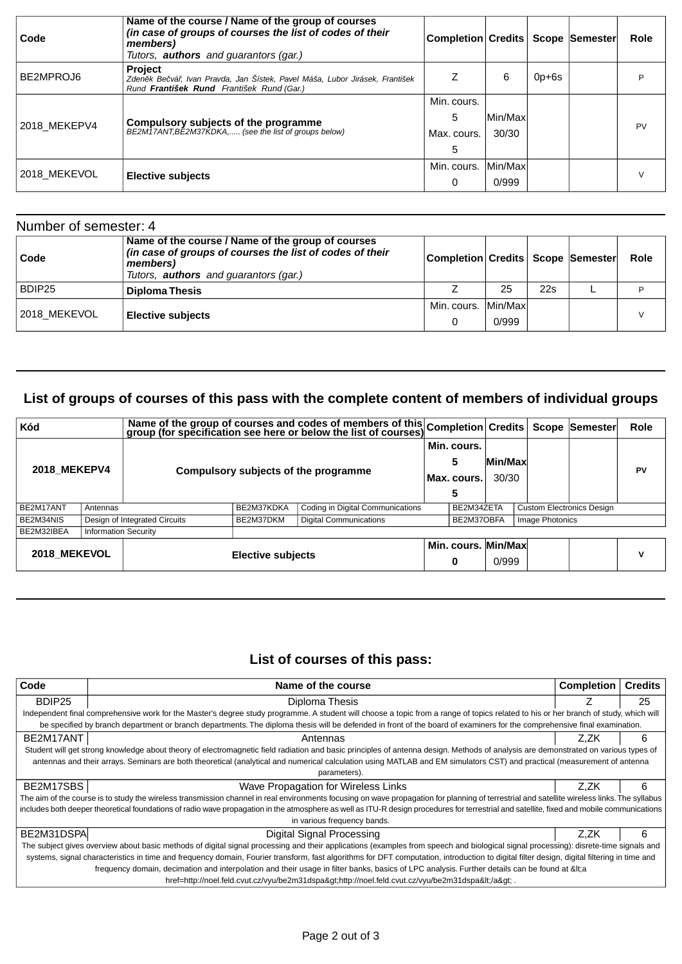| Code         | Name of the course / Name of the group of courses<br>(in case of groups of courses the list of codes of their<br>members)<br>Tutors, <b>authors</b> and guarantors (gar.) | Completion Credits   Scope  Semester |                  |         | Role      |
|--------------|---------------------------------------------------------------------------------------------------------------------------------------------------------------------------|--------------------------------------|------------------|---------|-----------|
| BE2MPROJ6    | Project<br>Zden k Be vá, Ivan Pravda, Jan Šístek, Pavel Máša, Lubor Jirásek, František<br>Rund František Rund František Rund (Gar.)                                       |                                      | 6                | $0p+6s$ |           |
| 2018_MEKEPV4 | Compulsory subjects of the programme<br>BE2M17ANT, BE2M37KDKA, (see the list of groups below)                                                                             | Min. cours.<br>5<br>Max. cours.<br>5 | Min/Max<br>30/30 |         | <b>PV</b> |
| 2018 MEKEVOL | <b>Elective subjects</b>                                                                                                                                                  | Min. cours.<br>0                     | Min/Max<br>0/999 |         |           |

| Number of semester: 4 |                                                                                                                                                                           |                                       |       |     |      |
|-----------------------|---------------------------------------------------------------------------------------------------------------------------------------------------------------------------|---------------------------------------|-------|-----|------|
| Code                  | Name of the course / Name of the group of courses<br>(in case of groups of courses the list of codes of their<br>members)<br>Tutors, <b>authors</b> and quarantors (gar.) | Completion Credits   Scope   Semester |       |     | Role |
| BDIP25                | <b>Diploma Thesis</b>                                                                                                                                                     |                                       | 25    | 22s |      |
| 2018 MEKEVOL          | <b>Elective subjects</b>                                                                                                                                                  | Min. cours. Min/Maxl                  |       |     |      |
|                       |                                                                                                                                                                           | 0                                     | 0/999 |     |      |

# **List of groups of courses of this pass with the complete content of members of individual groups**

| Kód                 |                             | Name of the group of courses and codes of members of this Completion Credits Scope Semester |                          |  |                                 |                  |                                  |                        |    | <b>Role</b> |
|---------------------|-----------------------------|---------------------------------------------------------------------------------------------|--------------------------|--|---------------------------------|------------------|----------------------------------|------------------------|----|-------------|
| <b>2018 MEKEPV4</b> |                             | Compulsory subjects of the programme                                                        |                          |  | Min. cours.<br>5<br>Max. cours. | Min/Max<br>30/30 |                                  |                        | PV |             |
| BE2M17ANT           | Antennas                    | Coding in Digital Communications<br>BE2M37KDKA                                              |                          |  | BE2M34ZETA                      |                  | <b>Custom Electronics Design</b> |                        |    |             |
| BE2M34NIS           |                             | <b>Digital Communications</b><br>Design of Integrated Circuits<br>BE2M37DKM                 |                          |  |                                 | BE2M37OBFA       |                                  | <b>Image Photonics</b> |    |             |
| BE2M32IBEA          | <b>Information Security</b> |                                                                                             |                          |  |                                 |                  |                                  |                        |    |             |
| 2018 MEKEVOL        |                             |                                                                                             | <b>Elective subjects</b> |  |                                 | 0                | Min. cours. Min/Max<br>0/999     |                        |    | v           |

### **List of courses of this pass:**

| Code                                                                                                                                                                                       | Name of the course                                                                                                                                                                           | <b>Completion</b> | <b>Credits</b> |  |  |  |  |  |
|--------------------------------------------------------------------------------------------------------------------------------------------------------------------------------------------|----------------------------------------------------------------------------------------------------------------------------------------------------------------------------------------------|-------------------|----------------|--|--|--|--|--|
| BDIP25                                                                                                                                                                                     | Diploma Thesis                                                                                                                                                                               |                   | 25             |  |  |  |  |  |
|                                                                                                                                                                                            | Independent final comprehensive work for the Master's degree study programme. A student will choose a topic from a range of topics related to his or her branch of study, which will         |                   |                |  |  |  |  |  |
|                                                                                                                                                                                            | be specified by branch department or branch departments. The diploma thesis will be defended in front of the board of examiners for the comprehensive final examination.                     |                   |                |  |  |  |  |  |
| BE2M17ANT                                                                                                                                                                                  | Antennas                                                                                                                                                                                     | Z.ZK              | 6              |  |  |  |  |  |
|                                                                                                                                                                                            | Student will get strong knowledge about theory of electromagnetic field radiation and basic principles of antenna design. Methods of analysis are demonstrated on various types of           |                   |                |  |  |  |  |  |
|                                                                                                                                                                                            | antennas and their arrays. Seminars are both theoretical (analytical and numerical calculation using MATLAB and EM simulators CST) and practical (measurement of antenna                     |                   |                |  |  |  |  |  |
|                                                                                                                                                                                            | parameters).                                                                                                                                                                                 |                   |                |  |  |  |  |  |
| BE2M17SBS                                                                                                                                                                                  | Wave Propagation for Wireless Links                                                                                                                                                          | Z.ZK              | 6              |  |  |  |  |  |
|                                                                                                                                                                                            | The aim of the course is to study the wireless transmission channel in real environments focusing on wave propagation for planning of terrestrial and satellite wireless links. The syllabus |                   |                |  |  |  |  |  |
|                                                                                                                                                                                            | includes both deeper theoretical foundations of radio wave propagation in the atmosphere as well as ITU-R design procedures for terrestrial and satellite, fixed and mobile communications   |                   |                |  |  |  |  |  |
|                                                                                                                                                                                            | in various frequency bands.                                                                                                                                                                  |                   |                |  |  |  |  |  |
| BE2M31DSPA                                                                                                                                                                                 | Digital Signal Processing                                                                                                                                                                    | Z.ZK              | 6              |  |  |  |  |  |
| The subject gives overview about basic methods of digital signal processing and their applications (examples from speech and biological signal processing): disrete-time signals and       |                                                                                                                                                                                              |                   |                |  |  |  |  |  |
| systems, signal characteristics in time and frequency domain, Fourier transform, fast algorithms for DFT computation, introduction to digital filter design, digital filtering in time and |                                                                                                                                                                                              |                   |                |  |  |  |  |  |
| frequency domain, decimation and interpolation and their usage in filter banks, basics of LPC analysis. Further details can be found at <a< td=""></a<>                                    |                                                                                                                                                                                              |                   |                |  |  |  |  |  |
|                                                                                                                                                                                            | href=http://noel.feld.cvut.cz/vyu/be2m31dspa&qthttp://noel.feld.cvut.cz/vyu/be2m31dspa                                                                                                       |                   |                |  |  |  |  |  |